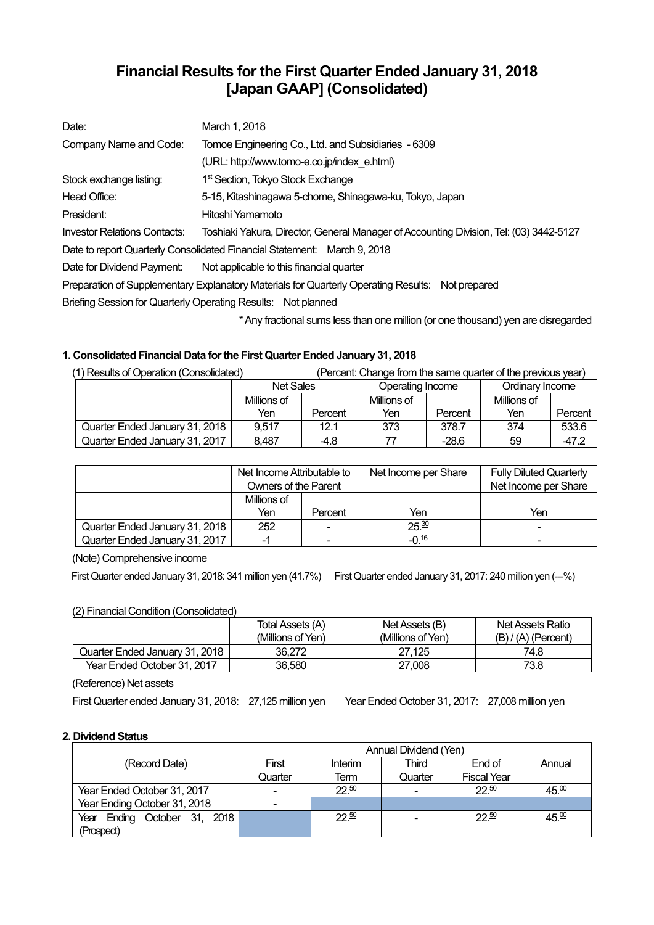# **Financial Results for the First Quarter Ended January 31, 2018 [Japan GAAP] (Consolidated)**

| Date:                                                                                            | March 1, 2018                                                                          |  |  |  |  |
|--------------------------------------------------------------------------------------------------|----------------------------------------------------------------------------------------|--|--|--|--|
| Company Name and Code:                                                                           | Tomoe Engineering Co., Ltd. and Subsidiaries - 6309                                    |  |  |  |  |
|                                                                                                  | (URL: http://www.tomo-e.co.jp/index e.html)                                            |  |  |  |  |
| Stock exchange listing:                                                                          | 1 <sup>st</sup> Section, Tokyo Stock Exchange                                          |  |  |  |  |
| Head Office:                                                                                     | 5-15, Kitashinagawa 5-chome, Shinagawa-ku, Tokyo, Japan                                |  |  |  |  |
| President:                                                                                       | Hitoshi Yamamoto                                                                       |  |  |  |  |
| Investor Relations Contacts:                                                                     | Toshiaki Yakura, Director, General Manager of Accounting Division, Tel: (03) 3442-5127 |  |  |  |  |
|                                                                                                  | Date to report Quarterly Consolidated Financial Statement: March 9, 2018               |  |  |  |  |
| Date for Dividend Payment:                                                                       | Not applicable to this financial quarter                                               |  |  |  |  |
| Preparation of Supplementary Explanatory Materials for Quarterly Operating Results: Not prepared |                                                                                        |  |  |  |  |
| Briefing Session for Quarterly Operating Results: Not planned                                    |                                                                                        |  |  |  |  |
|                                                                                                  |                                                                                        |  |  |  |  |

\* Any fractional sums less than one million (or one thousand) yen are disregarded

## **1. Consolidated Financial Data for the First Quarter Ended January 31, 2018**

| (1) Results of Operation (Consolidated) |                  |         | (Percent: Change from the same quarter of the previous year) |         |                 |         |
|-----------------------------------------|------------------|---------|--------------------------------------------------------------|---------|-----------------|---------|
|                                         | <b>Net Sales</b> |         | Operating Income                                             |         | Ordinary Income |         |
|                                         | Millions of      |         | Millions of                                                  |         | Millions of     |         |
|                                         | Yen              | Percent | Yen                                                          | Percent | Yen             | Percent |
| Quarter Ended January 31, 2018          | 9.517            | 12.1    | 373                                                          | 378.7   | 374             | 533.6   |
| Quarter Ended January 31, 2017          | 8,487            | -4.8    |                                                              | $-28.6$ | 59              | $-47.2$ |

|                                | Net Income Attributable to |                | Net Income per Share | <b>Fully Diluted Quarterly</b> |
|--------------------------------|----------------------------|----------------|----------------------|--------------------------------|
|                                | Owners of the Parent       |                |                      | Net Income per Share           |
|                                | Millions of                |                |                      |                                |
|                                | Yen                        | Percent        | Yen                  | Yen                            |
| Quarter Ended January 31, 2018 | 252                        | $\blacksquare$ | 25.30                | $\overline{\phantom{0}}$       |
| Quarter Ended January 31, 2017 | -                          | -              | $-0.16$              | -                              |

(Note) Comprehensive income

First Quarter ended January 31, 2018: 341 million yen (41.7%) First Quarter ended January 31, 2017: 240 million yen (--%)

## (2) Financial Condition (Consolidated)

|                                | Total Assets (A)  | Net Assets (B)    | Net Assets Ratio      |
|--------------------------------|-------------------|-------------------|-----------------------|
|                                | (Millions of Yen) | (Millions of Yen) | $(B) / (A)$ (Percent) |
| Quarter Ended January 31, 2018 | 36.272            | 27.125            | 74.8                  |
| Year Ended October 31, 2017    | 36,580            | 27,008            | 73.8                  |

(Reference) Net assets

First Quarter ended January 31, 2018: 27,125 million yen Year Ended October 31, 2017: 27,008 million yen

## **2. Dividend Status**

|                                 | Annual Dividend (Yen) |         |                          |                    |        |  |
|---------------------------------|-----------------------|---------|--------------------------|--------------------|--------|--|
| (Record Date)                   | First                 | Interim | Third                    | End of             | Annual |  |
|                                 | Quarter               | Term    | Quarter                  | <b>Fiscal Year</b> |        |  |
| Year Ended October 31, 2017     | $\overline{a}$        | 22.50   | $\overline{\phantom{0}}$ | 22.50              | 45.00  |  |
| Year Ending October 31, 2018    | $\blacksquare$        |         |                          |                    |        |  |
| Ending October 31, 2018<br>Year |                       | 22.50   |                          | $22^{50}$          | 45.00  |  |
| (Prospect)                      |                       |         |                          |                    |        |  |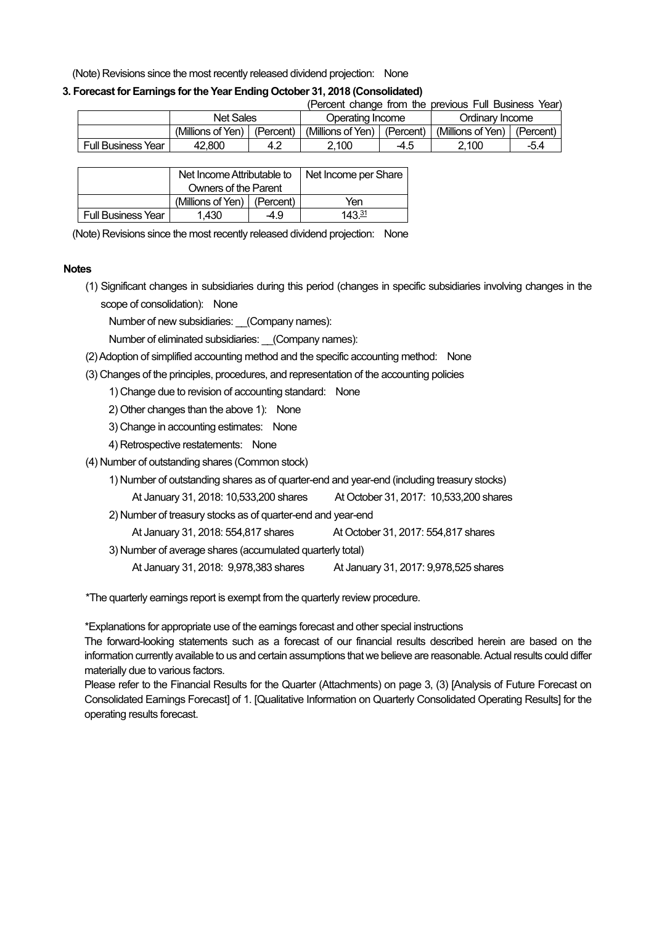(Note) Revisions since the most recently released dividend projection: None

## **3. Forecast for Earnings for the Year Ending October 31, 2018 (Consolidated)**

|                           |                               |     |                               |      | (Percent change from the previous Full Business Year) |           |
|---------------------------|-------------------------------|-----|-------------------------------|------|-------------------------------------------------------|-----------|
|                           | <b>Net Sales</b>              |     | Operating Income              |      | Ordinary Income                                       |           |
|                           | (Millions of Yen)   (Percent) |     | (Millions of Yen)   (Percent) |      | (Millions of Yen)                                     | (Percent) |
| <b>Full Business Year</b> | 42.800                        | 4.2 | 2.100                         | -4.5 | 2.100                                                 | $-5.4$    |

|                    | Net Income Attributable to    |     | Net Income per Share |
|--------------------|-------------------------------|-----|----------------------|
|                    | Owners of the Parent          |     |                      |
|                    | (Millions of Yen)   (Percent) |     | Yen                  |
| Full Business Year | 1.430                         | 4.9 | 143 $\frac{31}{2}$   |

(Note) Revisions since the most recently released dividend projection: None

#### **Notes**

(1) Significant changes in subsidiaries during this period (changes in specific subsidiaries involving changes in the scope of consolidation): None

Number of new subsidiaries: (Company names):

Number of eliminated subsidiaries: \_\_(Company names):

- (2) Adoption of simplified accounting method and the specific accounting method: None
- (3) Changes of the principles, procedures, and representation of the accounting policies

1) Change due to revision of accounting standard: None

- 2) Other changes than the above 1): None
- 3) Change in accounting estimates: None
- 4) Retrospective restatements: None
- (4) Number of outstanding shares (Common stock)
	- 1) Number of outstanding shares as of quarter-end and year-end (including treasury stocks)
		- At January 31, 2018: 10,533,200 shares At October 31, 2017: 10,533,200 shares
	- 2) Number of treasury stocks as of quarter-end and year-end
		- At January 31, 2018: 554,817 shares At October 31, 2017: 554,817 shares
	- 3) Number of average shares (accumulated quarterly total)
		- At January 31, 2018: 9,978,383 shares At January 31, 2017: 9,978,525 shares

\*The quarterly earnings report is exempt from the quarterly review procedure.

\*Explanations for appropriate use of the earnings forecast and other special instructions

The forward-looking statements such as a forecast of our financial results described herein are based on the information currently available to us and certain assumptions that we believe are reasonable. Actual results could differ materially due to various factors.

Please refer to the Financial Results for the Quarter (Attachments) on page 3, (3) [Analysis of Future Forecast on Consolidated Earnings Forecast] of 1. [Qualitative Information on Quarterly Consolidated Operating Results] for the operating results forecast.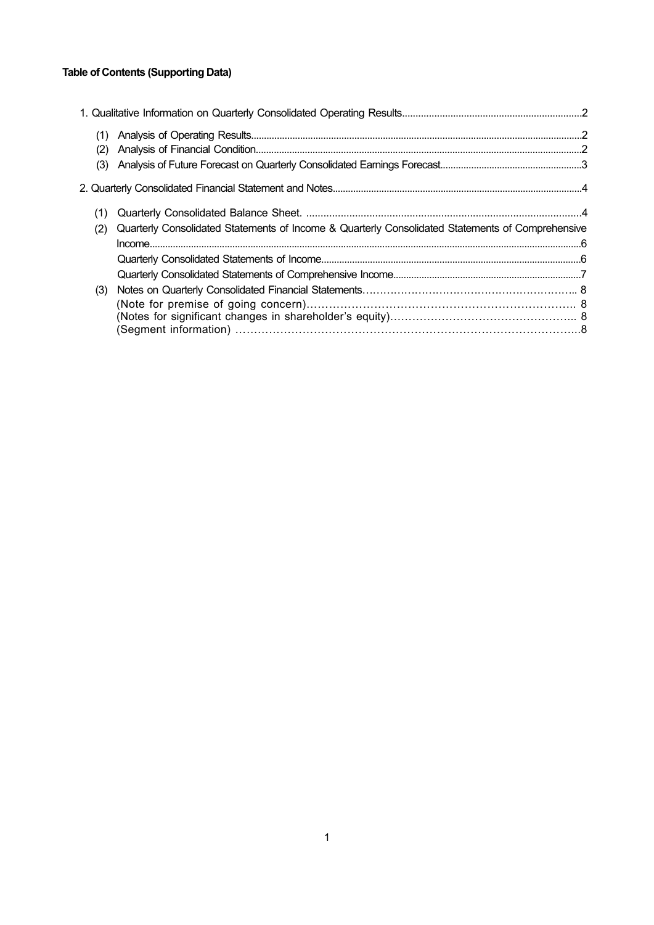## **Table of Contents (Supporting Data)**

| (1)<br>(2) |                                                                                                  |  |
|------------|--------------------------------------------------------------------------------------------------|--|
| (3)        |                                                                                                  |  |
|            |                                                                                                  |  |
| (1)        |                                                                                                  |  |
| (2)        | Quarterly Consolidated Statements of Income & Quarterly Consolidated Statements of Comprehensive |  |
|            |                                                                                                  |  |
|            |                                                                                                  |  |
|            |                                                                                                  |  |
| (3)        |                                                                                                  |  |
|            |                                                                                                  |  |
|            |                                                                                                  |  |
|            |                                                                                                  |  |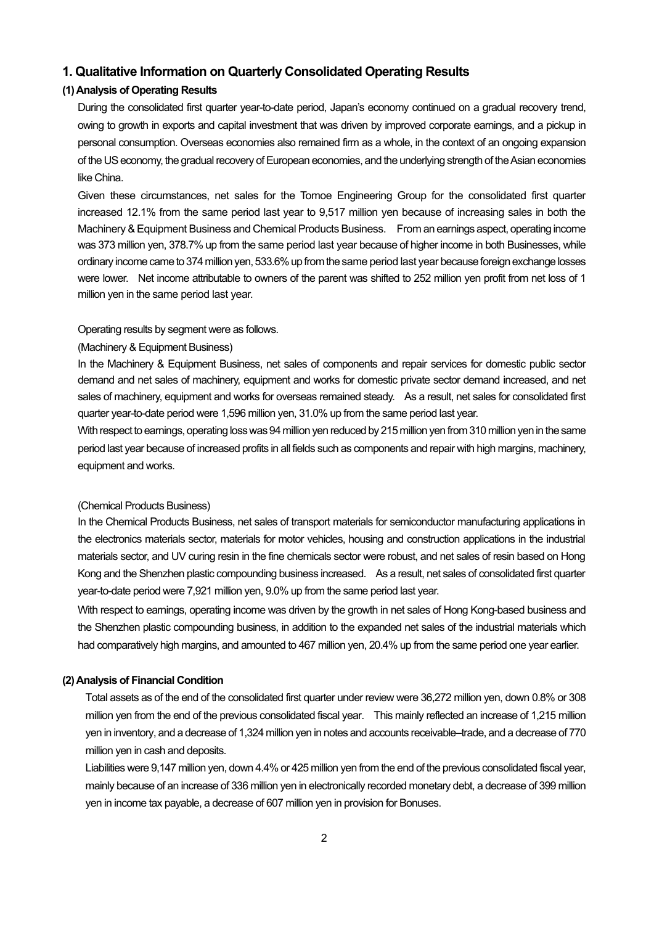## **1. Qualitative Information on Quarterly Consolidated Operating Results**

### **(1) Analysis of Operating Results**

During the consolidated first quarter year-to-date period, Japan's economy continued on a gradual recovery trend, owing to growth in exports and capital investment that was driven by improved corporate earnings, and a pickup in personal consumption. Overseas economies also remained firm as a whole, in the context of an ongoing expansion of the US economy, the gradual recovery of European economies, and the underlying strength of the Asian economies like China.

Given these circumstances, net sales for the Tomoe Engineering Group for the consolidated first quarter increased 12.1% from the same period last year to 9,517 million yen because of increasing sales in both the Machinery & Equipment Business and Chemical Products Business. From an earnings aspect, operating income was 373 million yen, 378.7% up from the same period last year because of higher income in both Businesses, while ordinary income came to 374 million yen, 533.6% up from the same period last year because foreign exchange losses were lower. Net income attributable to owners of the parent was shifted to 252 million yen profit from net loss of 1 million yen in the same period last year.

#### Operating results by segment were as follows.

#### (Machinery & Equipment Business)

In the Machinery & Equipment Business, net sales of components and repair services for domestic public sector demand and net sales of machinery, equipment and works for domestic private sector demand increased, and net sales of machinery, equipment and works for overseas remained steady. As a result, net sales for consolidated first quarter year-to-date period were 1,596 million yen, 31.0% up from the same period last year.

With respect to earnings, operating loss was 94 million yen reduced by 215 million yen from 310 million yen in the same period last year because of increased profits in all fields such as components and repair with high margins, machinery, equipment and works.

#### (Chemical Products Business)

In the Chemical Products Business, net sales of transport materials for semiconductor manufacturing applications in the electronics materials sector, materials for motor vehicles, housing and construction applications in the industrial materials sector, and UV curing resin in the fine chemicals sector were robust, and net sales of resin based on Hong Kong and the Shenzhen plastic compounding business increased. As a result, net sales of consolidated first quarter year-to-date period were 7,921 million yen, 9.0% up from the same period last year.

With respect to earnings, operating income was driven by the growth in net sales of Hong Kong-based business and the Shenzhen plastic compounding business, in addition to the expanded net sales of the industrial materials which had comparatively high margins, and amounted to 467 million yen, 20.4% up from the same period one year earlier.

#### **(2) Analysis of Financial Condition**

Total assets as of the end of the consolidated first quarter under review were 36,272 million yen, down 0.8% or 308 million yen from the end of the previous consolidated fiscal year. This mainly reflected an increase of 1,215 million yen in inventory, and a decrease of 1,324 million yen in notes and accounts receivable–trade, and a decrease of 770 million yen in cash and deposits.

Liabilities were 9,147 million yen, down 4.4% or 425 million yen from the end of the previous consolidated fiscal year, mainly because of an increase of 336 million yen in electronically recorded monetary debt, a decrease of 399 million yen in income tax payable, a decrease of 607 million yen in provision for Bonuses.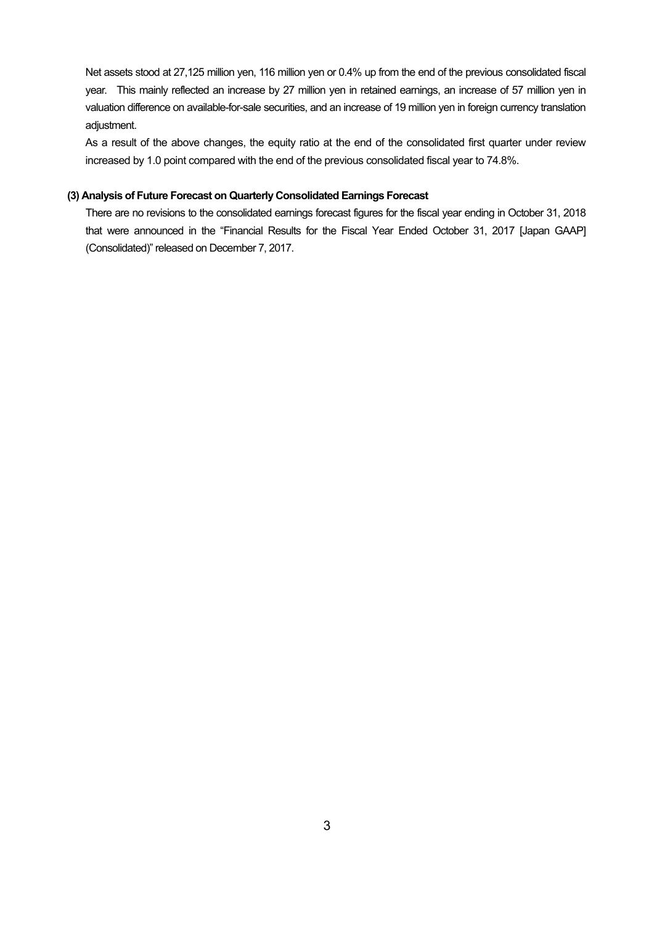Net assets stood at 27,125 million yen, 116 million yen or 0.4% up from the end of the previous consolidated fiscal year. This mainly reflected an increase by 27 million yen in retained earnings, an increase of 57 million yen in valuation difference on available-for-sale securities, and an increase of 19 million yen in foreign currency translation adjustment.

As a result of the above changes, the equity ratio at the end of the consolidated first quarter under review increased by 1.0 point compared with the end of the previous consolidated fiscal year to 74.8%.

#### **(3) Analysis of Future Forecast on Quarterly Consolidated Earnings Forecast**

There are no revisions to the consolidated earnings forecast figures for the fiscal year ending in October 31, 2018 that were announced in the "Financial Results for the Fiscal Year Ended October 31, 2017 [Japan GAAP] (Consolidated)" released on December 7, 2017.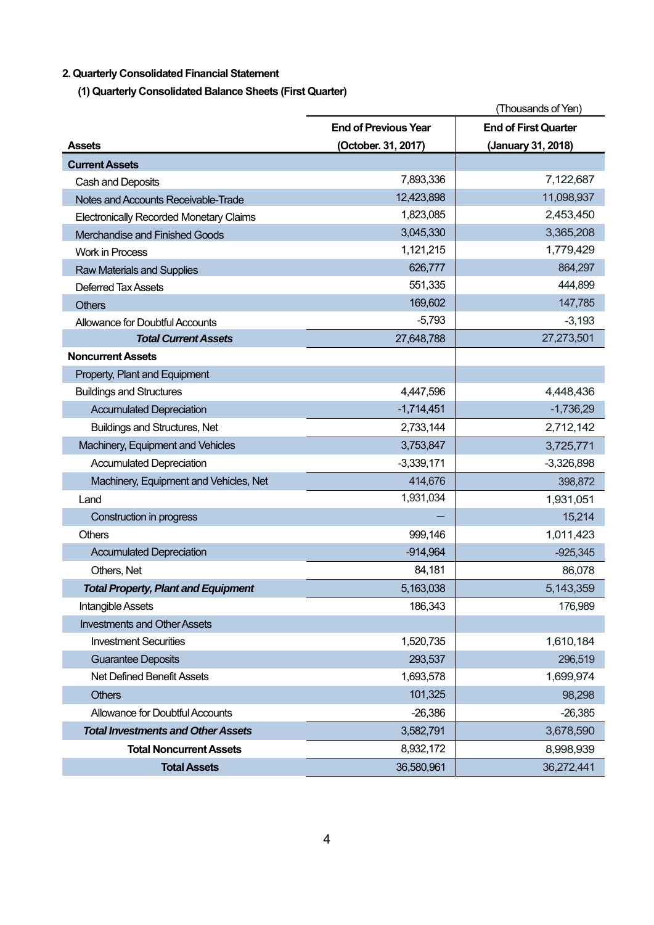## **2. Quarterly Consolidated Financial Statement**

**(1) Quarterly Consolidated Balance Sheets (First Quarter)** 

|                                                |                             | (Thousands of Yen)          |
|------------------------------------------------|-----------------------------|-----------------------------|
|                                                | <b>End of Previous Year</b> | <b>End of First Quarter</b> |
| <b>Assets</b>                                  | (October. 31, 2017)         | (January 31, 2018)          |
| <b>Current Assets</b>                          |                             |                             |
| Cash and Deposits                              | 7,893,336                   | 7,122,687                   |
| Notes and Accounts Receivable-Trade            | 12,423,898                  | 11,098,937                  |
| <b>Electronically Recorded Monetary Claims</b> | 1,823,085                   | 2,453,450                   |
| Merchandise and Finished Goods                 | 3,045,330                   | 3,365,208                   |
| <b>Work in Process</b>                         | 1,121,215                   | 1,779,429                   |
| <b>Raw Materials and Supplies</b>              | 626,777                     | 864,297                     |
| Deferred Tax Assets                            | 551,335                     | 444,899                     |
| <b>Others</b>                                  | 169,602                     | 147,785                     |
| Allowance for Doubtful Accounts                | $-5,793$                    | $-3,193$                    |
| <b>Total Current Assets</b>                    | 27,648,788                  | 27,273,501                  |
| <b>Noncurrent Assets</b>                       |                             |                             |
| Property, Plant and Equipment                  |                             |                             |
| <b>Buildings and Structures</b>                | 4,447,596                   | 4,448,436                   |
| <b>Accumulated Depreciation</b>                | $-1,714,451$                | $-1,736,29$                 |
| <b>Buildings and Structures, Net</b>           | 2,733,144                   | 2,712,142                   |
| Machinery, Equipment and Vehicles              | 3,753,847                   | 3,725,771                   |
| <b>Accumulated Depreciation</b>                | $-3,339,171$                | $-3,326,898$                |
| Machinery, Equipment and Vehicles, Net         | 414,676                     | 398,872                     |
| Land                                           | 1,931,034                   | 1,931,051                   |
| Construction in progress                       |                             | 15,214                      |
| <b>Others</b>                                  | 999,146                     | 1,011,423                   |
| <b>Accumulated Depreciation</b>                | $-914,964$                  | $-925,345$                  |
| Others, Net                                    | 84,181                      | 86,078                      |
| <b>Total Property, Plant and Equipment</b>     | 5,163,038                   | 5,143,359                   |
| Intangible Assets                              | 186,343                     | 176,989                     |
| <b>Investments and Other Assets</b>            |                             |                             |
| <b>Investment Securities</b>                   | 1,520,735                   | 1,610,184                   |
| <b>Guarantee Deposits</b>                      | 293,537                     | 296,519                     |
| Net Defined Benefit Assets                     | 1,693,578                   | 1,699,974                   |
| <b>Others</b>                                  | 101,325                     | 98,298                      |
| Allowance for Doubtful Accounts                | $-26,386$                   | $-26,385$                   |
| <b>Total Investments and Other Assets</b>      | 3,582,791                   | 3,678,590                   |
| <b>Total Noncurrent Assets</b>                 | 8,932,172                   | 8,998,939                   |
| <b>Total Assets</b>                            | 36,580,961                  | 36,272,441                  |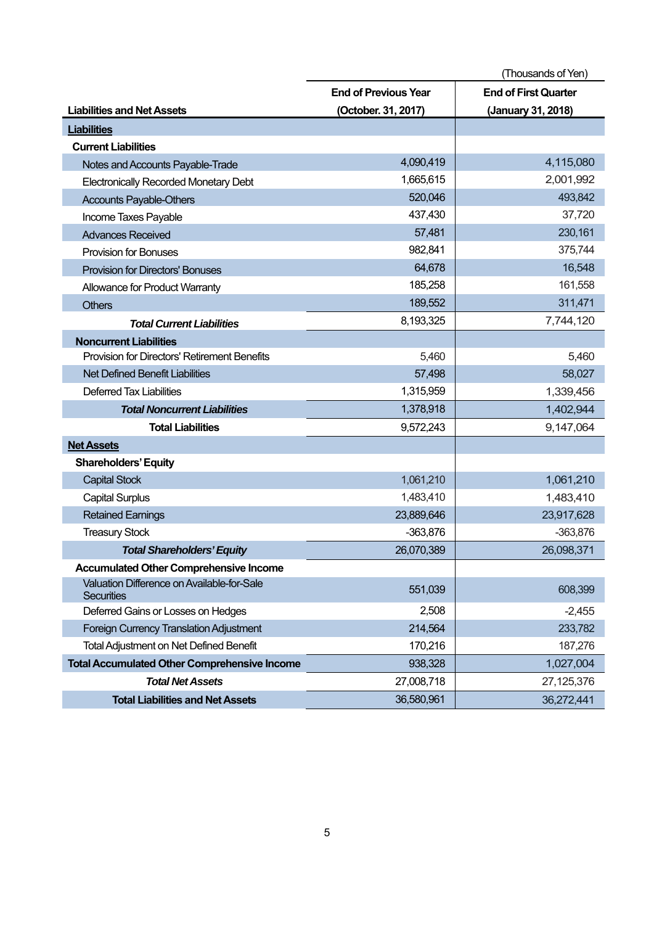|                                                                 |                             | (Thousands of Yen)          |
|-----------------------------------------------------------------|-----------------------------|-----------------------------|
|                                                                 | <b>End of Previous Year</b> | <b>End of First Quarter</b> |
| <b>Liabilities and Net Assets</b>                               | (October. 31, 2017)         | (January 31, 2018)          |
| <b>Liabilities</b>                                              |                             |                             |
| <b>Current Liabilities</b>                                      |                             |                             |
| Notes and Accounts Payable-Trade                                | 4,090,419                   | 4,115,080                   |
| <b>Electronically Recorded Monetary Debt</b>                    | 1,665,615                   | 2,001,992                   |
| <b>Accounts Payable-Others</b>                                  | 520,046                     | 493,842                     |
| Income Taxes Payable                                            | 437,430                     | 37,720                      |
| <b>Advances Received</b>                                        | 57,481                      | 230,161                     |
| <b>Provision for Bonuses</b>                                    | 982,841                     | 375,744                     |
| <b>Provision for Directors' Bonuses</b>                         | 64,678                      | 16,548                      |
| Allowance for Product Warranty                                  | 185,258                     | 161,558                     |
| <b>Others</b>                                                   | 189,552                     | 311,471                     |
| <b>Total Current Liabilities</b>                                | 8,193,325                   | 7,744,120                   |
| <b>Noncurrent Liabilities</b>                                   |                             |                             |
| Provision for Directors' Retirement Benefits                    | 5,460                       | 5,460                       |
| <b>Net Defined Benefit Liabilities</b>                          | 57,498                      | 58,027                      |
| <b>Deferred Tax Liabilities</b>                                 | 1,315,959                   | 1,339,456                   |
| <b>Total Noncurrent Liabilities</b>                             | 1,378,918                   | 1,402,944                   |
| <b>Total Liabilities</b>                                        | 9,572,243                   | 9,147,064                   |
| <b>Net Assets</b>                                               |                             |                             |
| <b>Shareholders' Equity</b>                                     |                             |                             |
| <b>Capital Stock</b>                                            | 1,061,210                   | 1,061,210                   |
| <b>Capital Surplus</b>                                          | 1,483,410                   | 1,483,410                   |
| <b>Retained Earnings</b>                                        | 23,889,646                  | 23,917,628                  |
| <b>Treasury Stock</b>                                           | $-363,876$                  | $-363,876$                  |
| <b>Total Shareholders' Equity</b>                               | 26,070,389                  | 26,098,371                  |
| <b>Accumulated Other Comprehensive Income</b>                   |                             |                             |
| Valuation Difference on Available-for-Sale<br><b>Securities</b> | 551,039                     | 608,399                     |
| Deferred Gains or Losses on Hedges                              | 2,508                       | $-2,455$                    |
| Foreign Currency Translation Adjustment                         | 214,564                     | 233,782                     |
| <b>Total Adjustment on Net Defined Benefit</b>                  | 170,216                     | 187,276                     |
| <b>Total Accumulated Other Comprehensive Income</b>             | 938,328                     | 1,027,004                   |
| <b>Total Net Assets</b>                                         | 27,008,718                  | 27,125,376                  |
| <b>Total Liabilities and Net Assets</b>                         | 36,580,961                  | 36,272,441                  |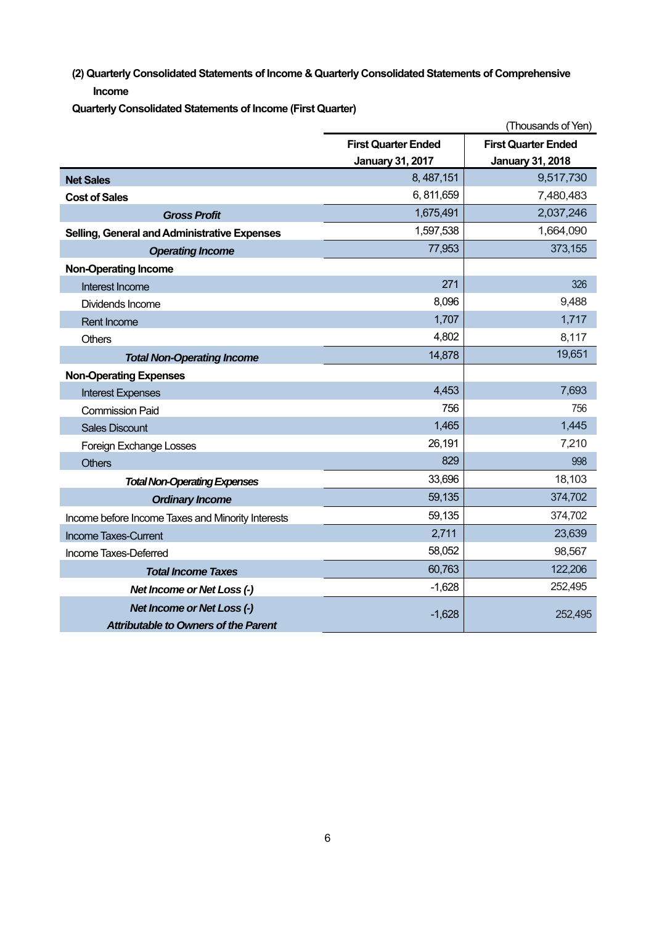**(2) Quarterly Consolidated Statements of Income & Quarterly Consolidated Statements of Comprehensive Income** 

**Quarterly Consolidated Statements of Income (First Quarter)** 

|                                                   |                            | (Thousands of Yen)         |
|---------------------------------------------------|----------------------------|----------------------------|
|                                                   | <b>First Quarter Ended</b> | <b>First Quarter Ended</b> |
|                                                   | <b>January 31, 2017</b>    | <b>January 31, 2018</b>    |
| <b>Net Sales</b>                                  | 8, 487, 151                | 9,517,730                  |
| <b>Cost of Sales</b>                              | 6, 811, 659                | 7,480,483                  |
| <b>Gross Profit</b>                               | 1,675,491                  | 2,037,246                  |
| Selling, General and Administrative Expenses      | 1,597,538                  | 1,664,090                  |
| <b>Operating Income</b>                           | 77,953                     | 373,155                    |
| <b>Non-Operating Income</b>                       |                            |                            |
| Interest Income                                   | 271                        | 326                        |
| Dividends Income                                  | 8,096                      | 9,488                      |
| <b>Rent Income</b>                                | 1,707                      | 1,717                      |
| <b>Others</b>                                     | 4,802                      | 8,117                      |
| <b>Total Non-Operating Income</b>                 | 14,878                     | 19,651                     |
| <b>Non-Operating Expenses</b>                     |                            |                            |
| <b>Interest Expenses</b>                          | 4,453                      | 7,693                      |
| <b>Commission Paid</b>                            | 756                        | 756                        |
| <b>Sales Discount</b>                             | 1,465                      | 1,445                      |
| Foreign Exchange Losses                           | 26,191                     | 7,210                      |
| <b>Others</b>                                     | 829                        | 998                        |
| <b>Total Non-Operating Expenses</b>               | 33,696                     | 18,103                     |
| <b>Ordinary Income</b>                            | 59,135                     | 374,702                    |
| Income before Income Taxes and Minority Interests | 59,135                     | 374,702                    |
| <b>Income Taxes-Current</b>                       | 2,711                      | 23,639                     |
| Income Taxes-Deferred                             | 58,052                     | 98,567                     |
| <b>Total Income Taxes</b>                         | 60,763                     | 122,206                    |
| Net Income or Net Loss (-)                        | $-1,628$                   | 252,495                    |
| <b>Net Income or Net Loss (-)</b>                 | $-1,628$                   | 252,495                    |
| <b>Attributable to Owners of the Parent</b>       |                            |                            |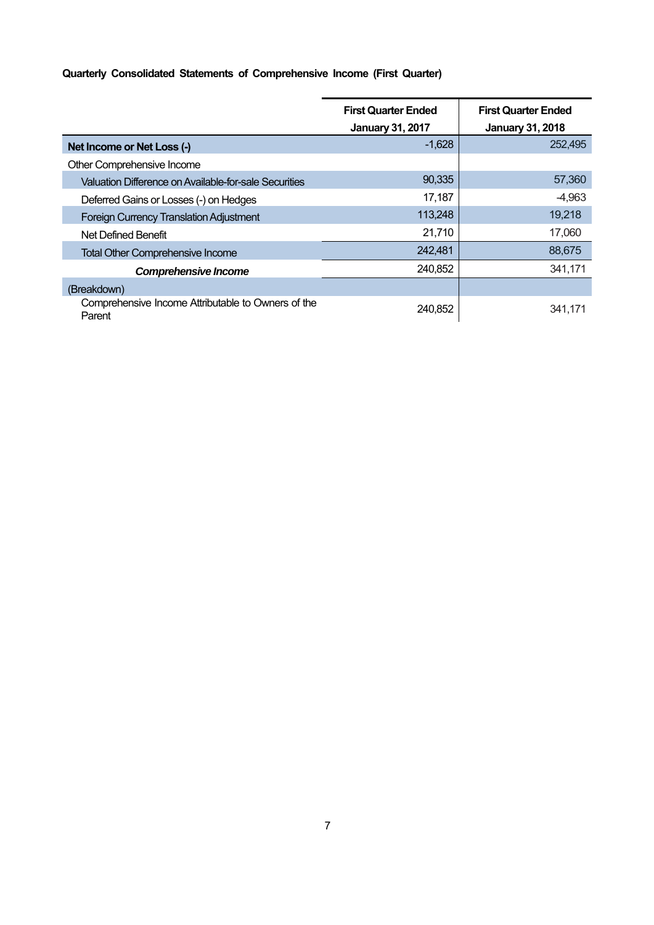## **Quarterly Consolidated Statements of Comprehensive Income (First Quarter)**

|                                                              | <b>First Quarter Ended</b><br><b>January 31, 2017</b> | <b>First Quarter Ended</b><br><b>January 31, 2018</b> |
|--------------------------------------------------------------|-------------------------------------------------------|-------------------------------------------------------|
| Net Income or Net Loss (-)                                   | $-1,628$                                              | 252,495                                               |
| Other Comprehensive Income                                   |                                                       |                                                       |
| Valuation Difference on Available-for-sale Securities        | 90,335                                                | 57,360                                                |
| Deferred Gains or Losses (-) on Hedges                       | 17,187                                                | $-4,963$                                              |
| <b>Foreign Currency Translation Adjustment</b>               | 113,248                                               | 19,218                                                |
| Net Defined Benefit                                          | 21,710                                                | 17,060                                                |
| <b>Total Other Comprehensive Income</b>                      | 242,481                                               | 88,675                                                |
| <b>Comprehensive Income</b>                                  | 240,852                                               | 341,171                                               |
| (Breakdown)                                                  |                                                       |                                                       |
| Comprehensive Income Attributable to Owners of the<br>Parent | 240,852                                               | 341,171                                               |